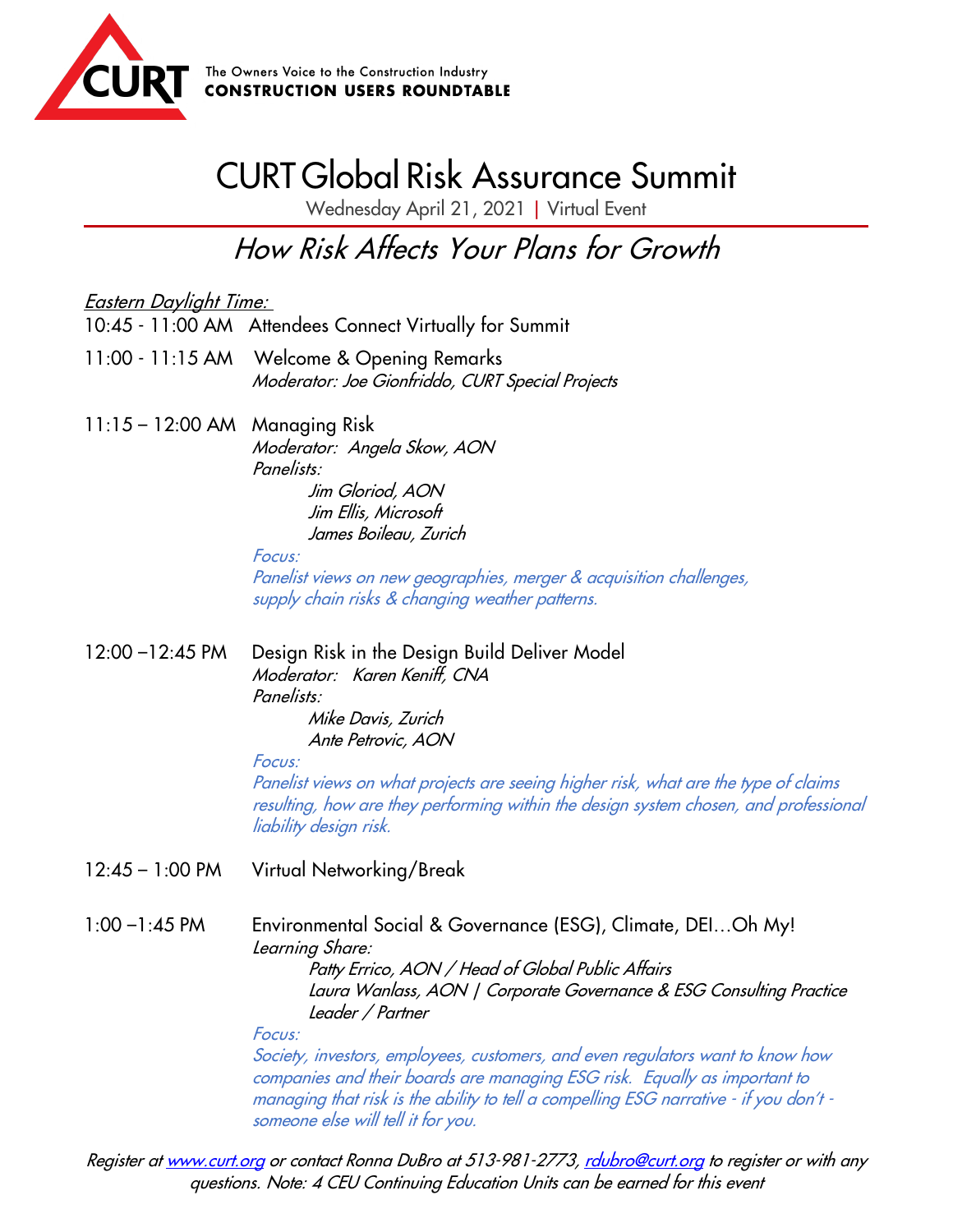

## CURT Global Risk Assurance Summit

Wednesday April 21, 2021 | Virtual Event

How Risk Affects Your Plans for Growth

Eastern Daylight Time: 10:45 - 11:00 AM Attendees Connect Virtually for Summit 11:00 - 11:15 AM Welcome & Opening Remarks Moderator: Joe Gionfriddo, CURT Special Projects 11:15 – 12:00 AM Managing Risk Moderator: Angela Skow, AON Panelists: Jim Gloriod, AON Jim Ellis, Microsoft James Boileau, Zurich Focus: Panelist views on new geographies, merger & acquisition challenges, supply chain risks & changing weather patterns. 12:00 –12:45 PM Design Risk in the Design Build Deliver Model Moderator: Karen Keniff, CNA Panelists: Mike Davis, Zurich Ante Petrovic, AON Focus: Panelist views on what projects are seeing higher risk, what are the type of claims resulting, how are they performing within the design system chosen, and professional liability design risk. 12:45 – 1:00 PM Virtual Networking/Break

1:00 –1:45 PM Environmental Social & Governance (ESG), Climate, DEI…Oh My! Learning Share: Patty Errico, AON / Head of Global Public Affairs Laura Wanlass, AON | Corporate Governance & ESG Consulting Practice Leader / Partner Focus: Society, investors, employees, customers, and even regulators want to know how

companies and their boards are managing ESG risk. Equally as important to managing that risk is the ability to tell a compelling ESG narrative - if you don't someone else will tell it for you.

Register a[t www.curt.org](http://www.curt.org/) or contact Ronna DuBro at 513-981-2773, raubro@curt.org to register or with any questions. Note: 4 CEU Continuing Education Units can be earned for this event